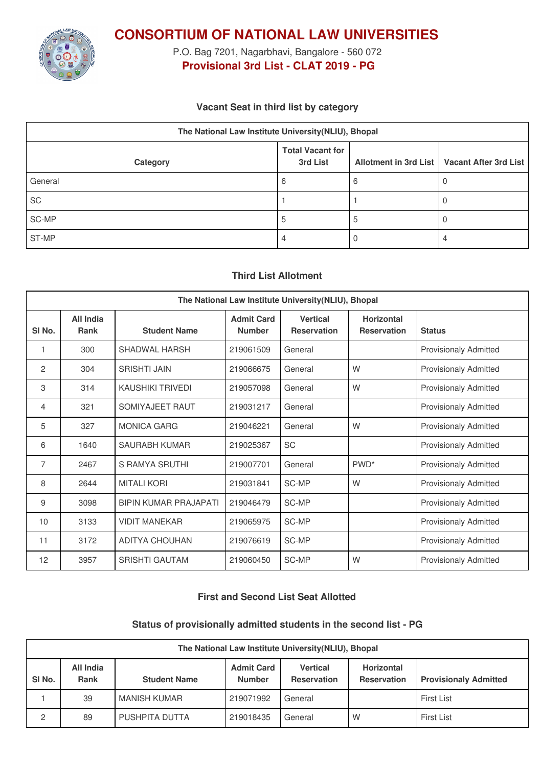

**CONSORTIUM OF NATIONAL LAW UNIVERSITIES**

P.O. Bag 7201, Nagarbhavi, Bangalore - 560 072 **Provisional 3rd List - CLAT 2019 - PG**

## **Vacant Seat in third list by category**

| The National Law Institute University(NLIU), Bhopal |                                     |  |                                               |  |  |
|-----------------------------------------------------|-------------------------------------|--|-----------------------------------------------|--|--|
| Category                                            | <b>Total Vacant for</b><br>3rd List |  | Allotment in 3rd List   Vacant After 3rd List |  |  |
| General                                             | 6                                   |  |                                               |  |  |
| SC                                                  |                                     |  |                                               |  |  |
| SC-MP                                               | ა                                   |  |                                               |  |  |
| ST-MP                                               | 4                                   |  | 4                                             |  |  |

# **Third List Allotment**

| The National Law Institute University(NLIU), Bhopal |                                 |                              |                                    |                                       |                                         |                              |
|-----------------------------------------------------|---------------------------------|------------------------------|------------------------------------|---------------------------------------|-----------------------------------------|------------------------------|
| SI No.                                              | <b>All India</b><br><b>Rank</b> | <b>Student Name</b>          | <b>Admit Card</b><br><b>Number</b> | <b>Vertical</b><br><b>Reservation</b> | <b>Horizontal</b><br><b>Reservation</b> | <b>Status</b>                |
| 1                                                   | 300                             | SHADWAL HARSH                | 219061509                          | General                               |                                         | <b>Provisionaly Admitted</b> |
| 2                                                   | 304                             | <b>SRISHTI JAIN</b>          | 219066675                          | General                               | W                                       | <b>Provisionaly Admitted</b> |
| 3                                                   | 314                             | <b>KAUSHIKI TRIVEDI</b>      | 219057098                          | General                               | W                                       | <b>Provisionaly Admitted</b> |
| 4                                                   | 321                             | SOMIYAJEET RAUT              | 219031217                          | General                               |                                         | <b>Provisionaly Admitted</b> |
| 5                                                   | 327                             | <b>MONICA GARG</b>           | 219046221                          | General                               | W                                       | <b>Provisionaly Admitted</b> |
| 6                                                   | 1640                            | SAURABH KUMAR                | 219025367                          | SC                                    |                                         | <b>Provisionaly Admitted</b> |
| 7                                                   | 2467                            | S RAMYA SRUTHI               | 219007701                          | General                               | PWD <sup>*</sup>                        | <b>Provisionaly Admitted</b> |
| 8                                                   | 2644                            | <b>MITALI KORI</b>           | 219031841                          | <b>SC-MP</b>                          | W                                       | <b>Provisionaly Admitted</b> |
| 9                                                   | 3098                            | <b>BIPIN KUMAR PRAJAPATI</b> | 219046479                          | SC-MP                                 |                                         | <b>Provisionaly Admitted</b> |
| 10                                                  | 3133                            | <b>VIDIT MANEKAR</b>         | 219065975                          | SC-MP                                 |                                         | <b>Provisionaly Admitted</b> |
| 11                                                  | 3172                            | <b>ADITYA CHOUHAN</b>        | 219076619                          | SC-MP                                 |                                         | <b>Provisionaly Admitted</b> |
| 12                                                  | 3957                            | <b>SRISHTI GAUTAM</b>        | 219060450                          | SC-MP                                 | W                                       | <b>Provisionaly Admitted</b> |

## **First and Second List Seat Allotted**

#### **Status of provisionally admitted students in the second list - PG**

| The National Law Institute University (NLIU), Bhopal |                          |                     |                                    |                                       |                                         |                              |
|------------------------------------------------------|--------------------------|---------------------|------------------------------------|---------------------------------------|-----------------------------------------|------------------------------|
| SI <sub>No.</sub>                                    | All India<br><b>Rank</b> | <b>Student Name</b> | <b>Admit Card</b><br><b>Number</b> | <b>Vertical</b><br><b>Reservation</b> | <b>Horizontal</b><br><b>Reservation</b> | <b>Provisionaly Admitted</b> |
|                                                      | 39                       | MANISH KUMAR        | 219071992                          | General                               |                                         | First List                   |
| 2                                                    | 89                       | PUSHPITA DUTTA      | 219018435                          | General                               | W                                       | <b>First List</b>            |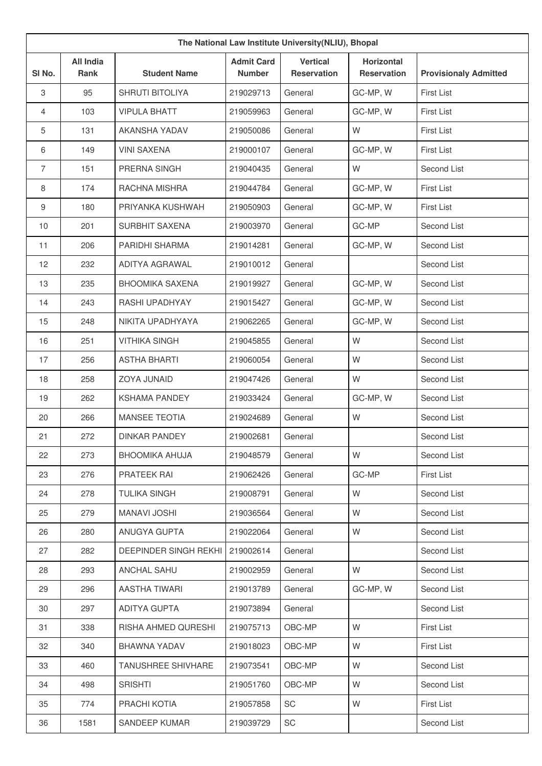| The National Law Institute University(NLIU), Bhopal |                          |                              |                                    |                                       |                                         |                              |
|-----------------------------------------------------|--------------------------|------------------------------|------------------------------------|---------------------------------------|-----------------------------------------|------------------------------|
| SI No.                                              | <b>All India</b><br>Rank | <b>Student Name</b>          | <b>Admit Card</b><br><b>Number</b> | <b>Vertical</b><br><b>Reservation</b> | <b>Horizontal</b><br><b>Reservation</b> | <b>Provisionaly Admitted</b> |
| $\,3$                                               | 95                       | <b>SHRUTI BITOLIYA</b>       | 219029713                          | General                               | GC-MP, W                                | <b>First List</b>            |
| $\overline{4}$                                      | 103                      | <b>VIPULA BHATT</b>          | 219059963                          | General                               | GC-MP, W                                | <b>First List</b>            |
| 5                                                   | 131                      | AKANSHA YADAV                | 219050086                          | General                               | W                                       | <b>First List</b>            |
| 6                                                   | 149                      | <b>VINI SAXENA</b>           | 219000107                          | General                               | GC-MP, W                                | <b>First List</b>            |
| $\overline{7}$                                      | 151                      | PRERNA SINGH                 | 219040435                          | General                               | W                                       | Second List                  |
| 8                                                   | 174                      | RACHNA MISHRA                | 219044784                          | General                               | GC-MP, W                                | <b>First List</b>            |
| $9\,$                                               | 180                      | PRIYANKA KUSHWAH             | 219050903                          | General                               | GC-MP, W                                | <b>First List</b>            |
| 10                                                  | 201                      | SURBHIT SAXENA               | 219003970                          | General                               | GC-MP                                   | Second List                  |
| 11                                                  | 206                      | PARIDHI SHARMA               | 219014281                          | General                               | GC-MP, W                                | Second List                  |
| 12                                                  | 232                      | ADITYA AGRAWAL               | 219010012                          | General                               |                                         | Second List                  |
| 13                                                  | 235                      | <b>BHOOMIKA SAXENA</b>       | 219019927                          | General                               | GC-MP, W                                | Second List                  |
| 14                                                  | 243                      | RASHI UPADHYAY               | 219015427                          | General                               | GC-MP, W                                | Second List                  |
| 15                                                  | 248                      | NIKITA UPADHYAYA             | 219062265                          | General                               | GC-MP, W                                | Second List                  |
| 16                                                  | 251                      | <b>VITHIKA SINGH</b>         | 219045855                          | General                               | W                                       | Second List                  |
| 17                                                  | 256                      | <b>ASTHA BHARTI</b>          | 219060054                          | General                               | W                                       | Second List                  |
| 18                                                  | 258                      | ZOYA JUNAID                  | 219047426                          | General                               | W                                       | Second List                  |
| 19                                                  | 262                      | <b>KSHAMA PANDEY</b>         | 219033424                          | General                               | GC-MP, W                                | Second List                  |
| 20                                                  | 266                      | <b>MANSEE TEOTIA</b>         | 219024689                          | General                               | W                                       | Second List                  |
| 21                                                  | 272                      | <b>DINKAR PANDEY</b>         | 219002681                          | General                               |                                         | Second List                  |
| 22                                                  | 273                      | <b>BHOOMIKA AHUJA</b>        | 219048579                          | General                               | W                                       | Second List                  |
| 23                                                  | 276                      | PRATEEK RAI                  | 219062426                          | General                               | GC-MP                                   | <b>First List</b>            |
| 24                                                  | 278                      | <b>TULIKA SINGH</b>          | 219008791                          | General                               | W                                       | Second List                  |
| 25                                                  | 279                      | <b>MANAVI JOSHI</b>          | 219036564                          | General                               | W                                       | Second List                  |
| 26                                                  | 280                      | ANUGYA GUPTA                 | 219022064                          | General                               | W                                       | Second List                  |
| 27                                                  | 282                      | <b>DEEPINDER SINGH REKHI</b> | 219002614                          | General                               |                                         | Second List                  |
| 28                                                  | 293                      | ANCHAL SAHU                  | 219002959                          | General                               | W                                       | Second List                  |
| 29                                                  | 296                      | AASTHA TIWARI                | 219013789                          | General                               | GC-MP, W                                | Second List                  |
| 30                                                  | 297                      | <b>ADITYA GUPTA</b>          | 219073894                          | General                               |                                         | Second List                  |
| 31                                                  | 338                      | RISHA AHMED QURESHI          | 219075713                          | OBC-MP                                | W                                       | <b>First List</b>            |
| 32                                                  | 340                      | BHAWNA YADAV                 | 219018023                          | OBC-MP                                | W                                       | <b>First List</b>            |
| 33                                                  | 460                      | TANUSHREE SHIVHARE           | 219073541                          | OBC-MP                                | W                                       | Second List                  |
| 34                                                  | 498                      | <b>SRISHTI</b>               | 219051760                          | OBC-MP                                | W                                       | Second List                  |
| 35                                                  | 774                      | PRACHI KOTIA                 | 219057858                          | SC                                    | W                                       | <b>First List</b>            |
| 36                                                  | 1581                     | SANDEEP KUMAR                | 219039729                          | SC                                    |                                         | Second List                  |